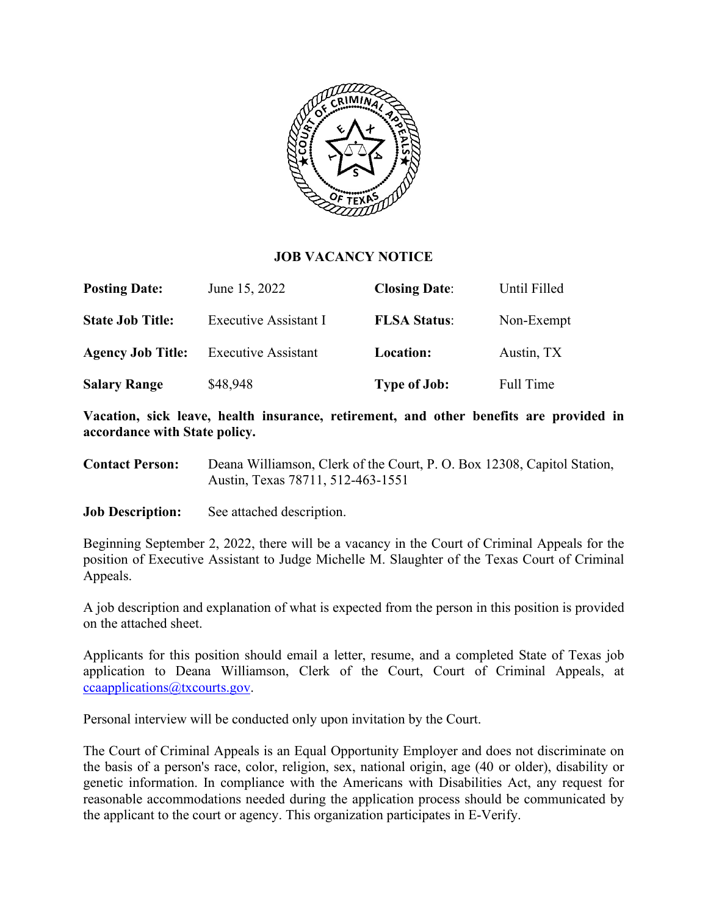

### **JOB VACANCY NOTICE**

| <b>Posting Date:</b>     | June 15, 2022              | <b>Closing Date:</b> | Until Filled     |
|--------------------------|----------------------------|----------------------|------------------|
| <b>State Job Title:</b>  | Executive Assistant I      | <b>FLSA Status:</b>  | Non-Exempt       |
| <b>Agency Job Title:</b> | <b>Executive Assistant</b> | Location:            | Austin, TX       |
| <b>Salary Range</b>      | \$48,948                   | <b>Type of Job:</b>  | <b>Full Time</b> |

**Vacation, sick leave, health insurance, retirement, and other benefits are provided in accordance with State policy.** 

- **Contact Person:** Deana Williamson, Clerk of the Court, P. O. Box 12308, Capitol Station, Austin, Texas 78711, 512-463-1551
- **Job Description:** See attached description.

Beginning September 2, 2022, there will be a vacancy in the Court of Criminal Appeals for the position of Executive Assistant to Judge Michelle M. Slaughter of the Texas Court of Criminal Appeals.

A job description and explanation of what is expected from the person in this position is provided on the attached sheet.

Applicants for this position should email a letter, resume, and a completed State of Texas job application to Deana Williamson, Clerk of the Court, Court of Criminal Appeals, at [ccaapplications@txcourts.gov.](mailto:ccaapplications@txcourts.gov)

Personal interview will be conducted only upon invitation by the Court.

The Court of Criminal Appeals is an Equal Opportunity Employer and does not discriminate on the basis of a person's race, color, religion, sex, national origin, age (40 or older), disability or genetic information. In compliance with the Americans with Disabilities Act, any request for reasonable accommodations needed during the application process should be communicated by the applicant to the court or agency. This organization participates in E-Verify.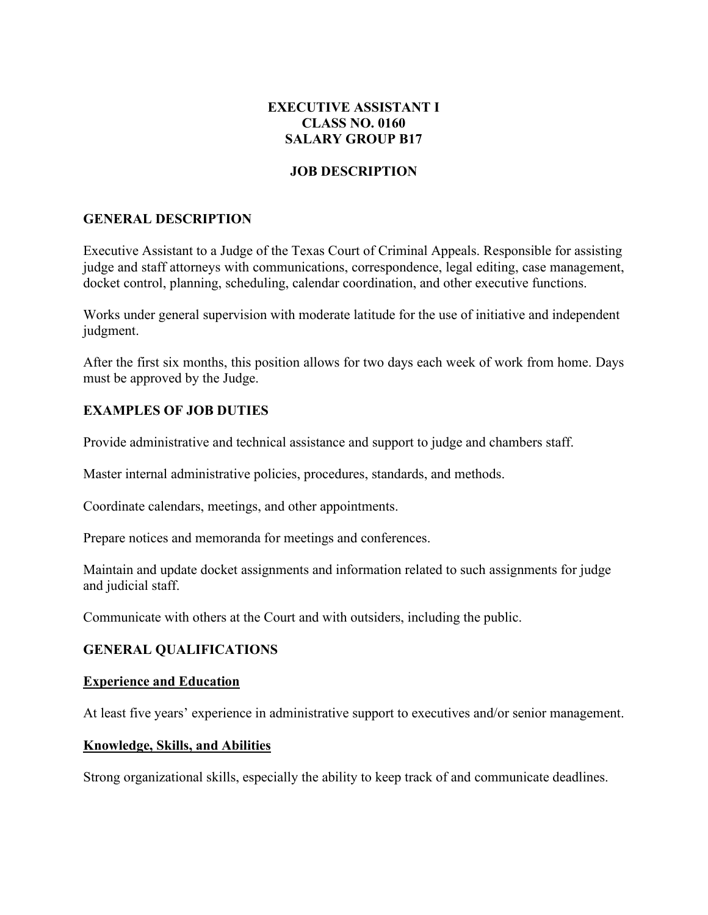# **EXECUTIVE ASSISTANT I CLASS NO. 0160 SALARY GROUP B17**

# **JOB DESCRIPTION**

## **GENERAL DESCRIPTION**

Executive Assistant to a Judge of the Texas Court of Criminal Appeals. Responsible for assisting judge and staff attorneys with communications, correspondence, legal editing, case management, docket control, planning, scheduling, calendar coordination, and other executive functions.

Works under general supervision with moderate latitude for the use of initiative and independent judgment.

After the first six months, this position allows for two days each week of work from home. Days must be approved by the Judge.

## **EXAMPLES OF JOB DUTIES**

Provide administrative and technical assistance and support to judge and chambers staff.

Master internal administrative policies, procedures, standards, and methods.

Coordinate calendars, meetings, and other appointments.

Prepare notices and memoranda for meetings and conferences.

Maintain and update docket assignments and information related to such assignments for judge and judicial staff.

Communicate with others at the Court and with outsiders, including the public.

### **GENERAL QUALIFICATIONS**

#### **Experience and Education**

At least five years' experience in administrative support to executives and/or senior management.

#### **Knowledge, Skills, and Abilities**

Strong organizational skills, especially the ability to keep track of and communicate deadlines.